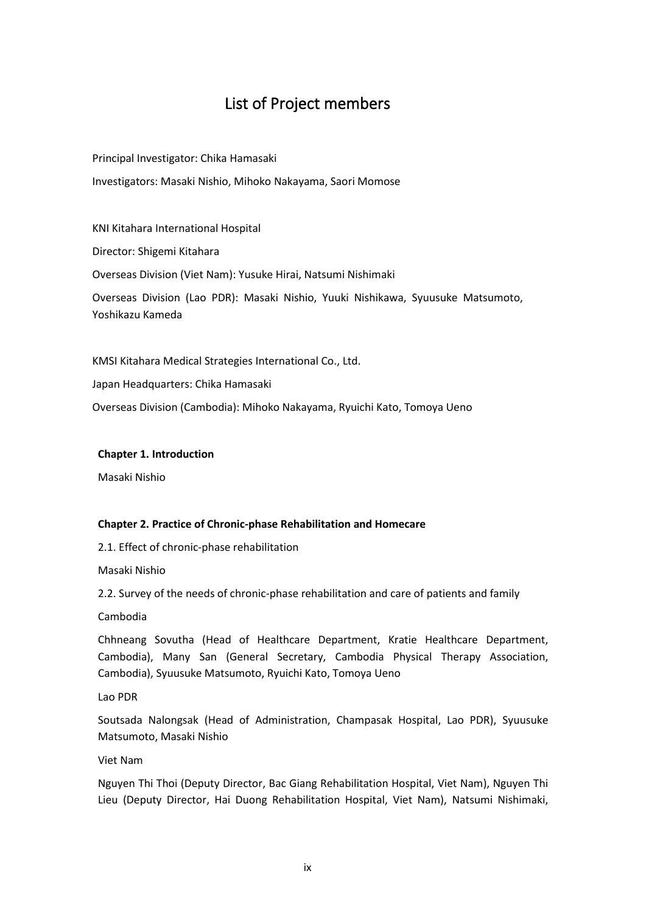# List of Project members

Principal Investigator: Chika Hamasaki Investigators: Masaki Nishio, Mihoko Nakayama, Saori Momose

KNI Kitahara International Hospital Director: Shigemi Kitahara Overseas Division (Viet Nam): Yusuke Hirai, Natsumi Nishimaki Overseas Division (Lao PDR): Masaki Nishio, Yuuki Nishikawa, Syuusuke Matsumoto, Yoshikazu Kameda

KMSI Kitahara Medical Strategies International Co., Ltd.

Japan Headquarters: Chika Hamasaki

Overseas Division (Cambodia): Mihoko Nakayama, Ryuichi Kato, Tomoya Ueno

### **Chapter 1. Introduction**

Masaki Nishio

## **Chapter 2. Practice of Chronic-phase Rehabilitation and Homecare**

2.1. Effect of chronic-phase rehabilitation

Masaki Nishio

2.2. Survey of the needs of chronic-phase rehabilitation and care of patients and family

Cambodia

Chhneang Sovutha (Head of Healthcare Department, Kratie Healthcare Department, Cambodia), Many San (General Secretary, Cambodia Physical Therapy Association, Cambodia), Syuusuke Matsumoto, Ryuichi Kato, Tomoya Ueno

Lao PDR

Soutsada Nalongsak (Head of Administration, Champasak Hospital, Lao PDR), Syuusuke Matsumoto, Masaki Nishio

### Viet Nam

Nguyen Thi Thoi (Deputy Director, Bac Giang Rehabilitation Hospital, Viet Nam), Nguyen Thi Lieu (Deputy Director, Hai Duong Rehabilitation Hospital, Viet Nam), Natsumi Nishimaki,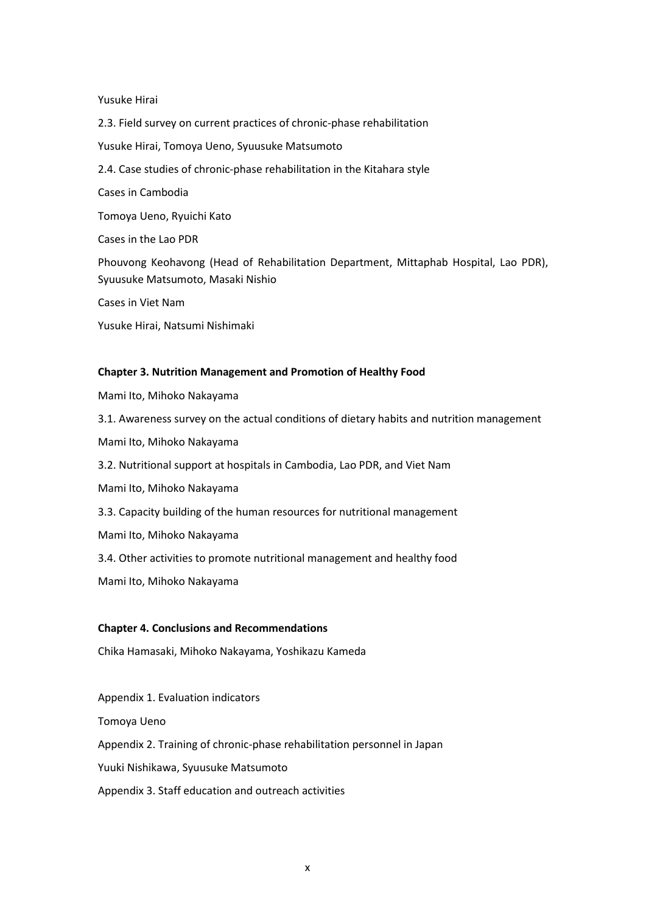Yusuke Hirai

2.3. Field survey on current practices of chronic-phase rehabilitation Yusuke Hirai, Tomoya Ueno, Syuusuke Matsumoto 2.4. Case studies of chronic-phase rehabilitation in the Kitahara style Cases in Cambodia Tomoya Ueno, Ryuichi Kato Cases in the Lao PDR Phouvong Keohavong (Head of Rehabilitation Department, Mittaphab Hospital, Lao PDR), Syuusuke Matsumoto, Masaki Nishio

Cases in Viet Nam

Yusuke Hirai, Natsumi Nishimaki

## **Chapter 3. Nutrition Management and Promotion of Healthy Food**

Mami Ito, Mihoko Nakayama

3.1. Awareness survey on the actual conditions of dietary habits and nutrition management

Mami Ito, Mihoko Nakayama

3.2. Nutritional support at hospitals in Cambodia, Lao PDR, and Viet Nam

Mami Ito, Mihoko Nakayama

3.3. Capacity building of the human resources for nutritional management

Mami Ito, Mihoko Nakayama

3.4. Other activities to promote nutritional management and healthy food

Mami Ito, Mihoko Nakayama

#### **Chapter 4. Conclusions and Recommendations**

Chika Hamasaki, Mihoko Nakayama, Yoshikazu Kameda

Appendix 1. Evaluation indicators

Tomoya Ueno

Appendix 2. Training of chronic-phase rehabilitation personnel in Japan

Yuuki Nishikawa, Syuusuke Matsumoto

Appendix 3. Staff education and outreach activities